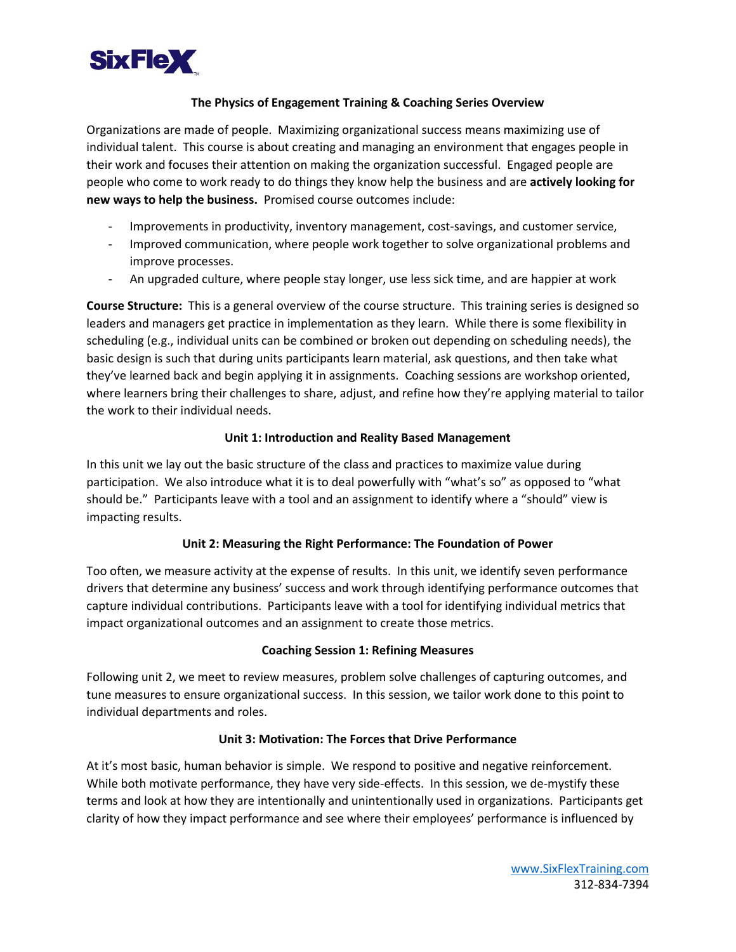

## **The Physics of Engagement Training & Coaching Series Overview**

Organizations are made of people. Maximizing organizational success means maximizing use of individual talent. This course is about creating and managing an environment that engages people in their work and focuses their attention on making the organization successful. Engaged people are people who come to work ready to do things they know help the business and are **actively looking for new ways to help the business.** Promised course outcomes include:

- Improvements in productivity, inventory management, cost-savings, and customer service,
- Improved communication, where people work together to solve organizational problems and improve processes.
- An upgraded culture, where people stay longer, use less sick time, and are happier at work

**Course Structure:** This is a general overview of the course structure. This training series is designed so leaders and managers get practice in implementation as they learn. While there is some flexibility in scheduling (e.g., individual units can be combined or broken out depending on scheduling needs), the basic design is such that during units participants learn material, ask questions, and then take what they've learned back and begin applying it in assignments. Coaching sessions are workshop oriented, where learners bring their challenges to share, adjust, and refine how they're applying material to tailor the work to their individual needs.

### **Unit 1: Introduction and Reality Based Management**

In this unit we lay out the basic structure of the class and practices to maximize value during participation. We also introduce what it is to deal powerfully with "what's so" as opposed to "what should be." Participants leave with a tool and an assignment to identify where a "should" view is impacting results.

### **Unit 2: Measuring the Right Performance: The Foundation of Power**

Too often, we measure activity at the expense of results. In this unit, we identify seven performance drivers that determine any business' success and work through identifying performance outcomes that capture individual contributions. Participants leave with a tool for identifying individual metrics that impact organizational outcomes and an assignment to create those metrics.

### **Coaching Session 1: Refining Measures**

Following unit 2, we meet to review measures, problem solve challenges of capturing outcomes, and tune measures to ensure organizational success. In this session, we tailor work done to this point to individual departments and roles.

### **Unit 3: Motivation: The Forces that Drive Performance**

At it's most basic, human behavior is simple. We respond to positive and negative reinforcement. While both motivate performance, they have very side-effects. In this session, we de-mystify these terms and look at how they are intentionally and unintentionally used in organizations. Participants get clarity of how they impact performance and see where their employees' performance is influenced by